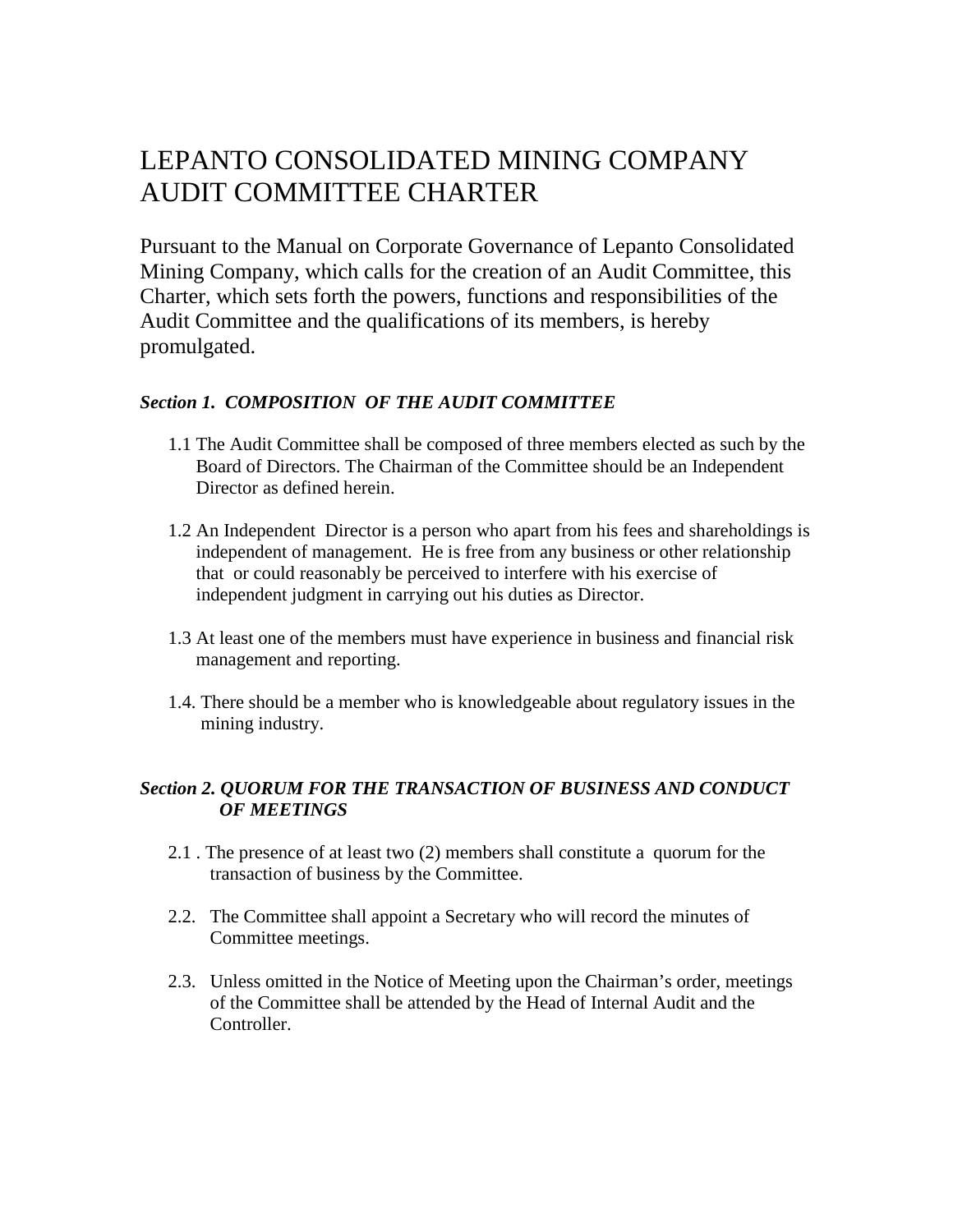## LEPANTO CONSOLIDATED MINING COMPANY AUDIT COMMITTEE CHARTER

Pursuant to the Manual on Corporate Governance of Lepanto Consolidated Mining Company, which calls for the creation of an Audit Committee, this Charter, which sets forth the powers, functions and responsibilities of the Audit Committee and the qualifications of its members, is hereby promulgated.

## *Section 1. COMPOSITION OF THE AUDIT COMMITTEE*

- 1.1 The Audit Committee shall be composed of three members elected as such by the Board of Directors. The Chairman of the Committee should be an Independent Director as defined herein.
- 1.2 An Independent Director is a person who apart from his fees and shareholdings is independent of management. He is free from any business or other relationship that or could reasonably be perceived to interfere with his exercise of independent judgment in carrying out his duties as Director.
- 1.3 At least one of the members must have experience in business and financial risk management and reporting.
- 1.4. There should be a member who is knowledgeable about regulatory issues in the mining industry.

## *Section 2. QUORUM FOR THE TRANSACTION OF BUSINESS AND CONDUCT OF MEETINGS*

- 2.1 . The presence of at least two (2) members shall constitute a quorum for the transaction of business by the Committee.
- 2.2. The Committee shall appoint a Secretary who will record the minutes of Committee meetings.
- 2.3. Unless omitted in the Notice of Meeting upon the Chairman's order, meetings of the Committee shall be attended by the Head of Internal Audit and the Controller.